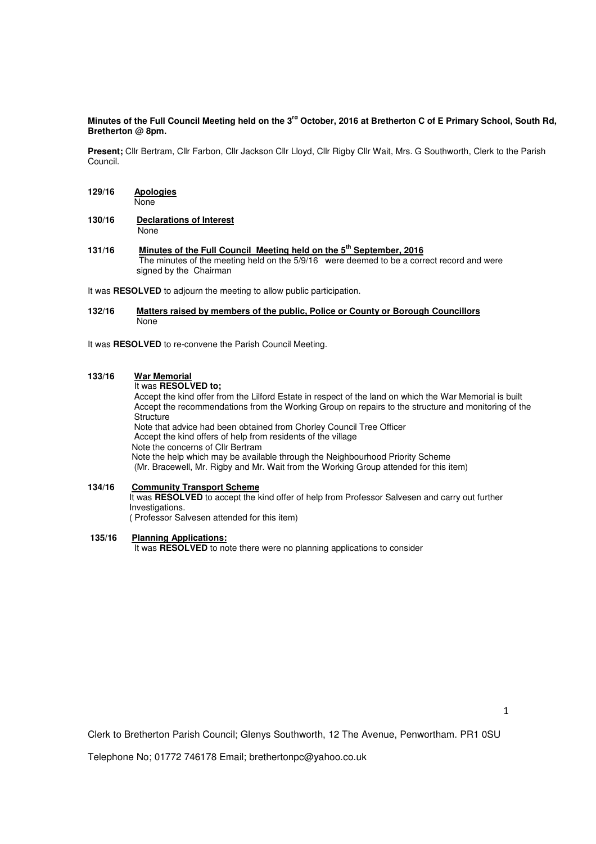### Minutes of the Full Council Meeting held on the 3<sup>rd</sup> October, 2016 at Bretherton C of E Primary School, South Rd, **Bretherton @ 8pm.**

**Present;** Cllr Bertram, Cllr Farbon, Cllr Jackson Cllr Lloyd, Cllr Rigby Cllr Wait, Mrs. G Southworth, Clerk to the Parish Council.

- **129/16 Apologies** None
- **130/16 Declarations of Interest** None
- **131/16 Minutes of the Full Council Meeting held on the 5th September, 2016**  The minutes of the meeting held on the 5/9/16 were deemed to be a correct record and were signed by the Chairman

It was **RESOLVED** to adjourn the meeting to allow public participation.

#### **132/16 Matters raised by members of the public, Police or County or Borough Councillors**  None

It was **RESOLVED** to re-convene the Parish Council Meeting.

#### **133/16 War Memorial**

It was **RESOLVED to;** 

Accept the kind offer from the Lilford Estate in respect of the land on which the War Memorial is built Accept the recommendations from the Working Group on repairs to the structure and monitoring of the **Structure** 

Note that advice had been obtained from Chorley Council Tree Officer

Accept the kind offers of help from residents of the village

Note the concerns of Cllr Bertram

Note the help which may be available through the Neighbourhood Priority Scheme

(Mr. Bracewell, Mr. Rigby and Mr. Wait from the Working Group attended for this item)

# **134/16 Community Transport Scheme**

 It was **RESOLVED** to accept the kind offer of help from Professor Salvesen and carry out further Investigations.

( Professor Salvesen attended for this item)

## **135/16 Planning Applications:**

It was **RESOLVED** to note there were no planning applications to consider

Clerk to Bretherton Parish Council; Glenys Southworth, 12 The Avenue, Penwortham. PR1 0SU

Telephone No; 01772 746178 Email; brethertonpc@yahoo.co.uk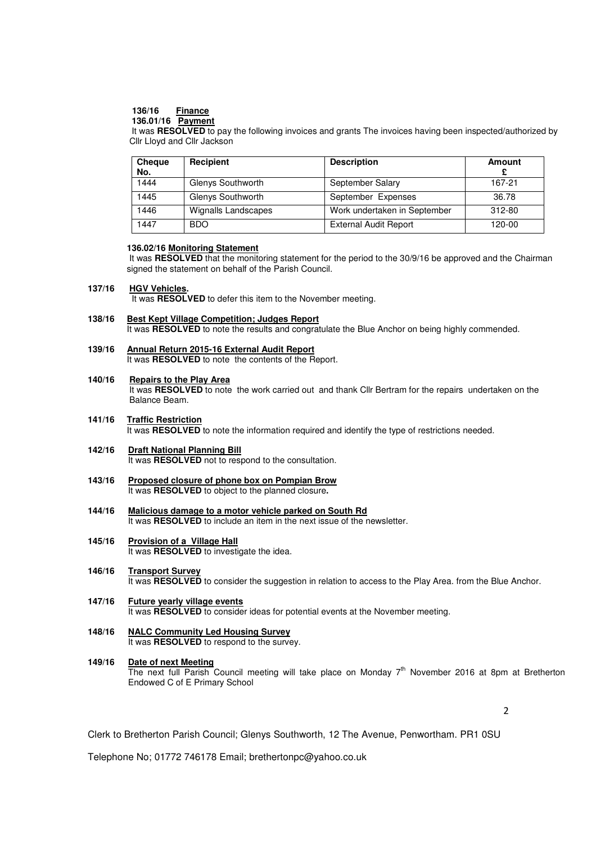## **136/16 Finance**

## **136.01/16 Payment**

 It was **RESOLVED** to pay the following invoices and grants The invoices having been inspected/authorized by **Cllr Lloyd and Cllr Jackson** 

| <b>Cheque</b><br>No. | Recipient                  | <b>Description</b>           | Amount |
|----------------------|----------------------------|------------------------------|--------|
| 1444                 | Glenys Southworth          | September Salary             | 167-21 |
| 1445                 | Glenys Southworth          | September Expenses           | 36.78  |
| 1446                 | <b>Wignalls Landscapes</b> | Work undertaken in September | 312-80 |
| 1447                 | <b>BDO</b>                 | <b>External Audit Report</b> | 120-00 |

#### **136.02/16 Monitoring Statement**

It was **RESOLVED** that the monitoring statement for the period to the 30/9/16 be approved and the Chairman signed the statement on behalf of the Parish Council.

#### **137/16 HGV Vehicles.**

It was **RESOLVED** to defer this item to the November meeting.

#### **138/16 Best Kept Village Competition; Judges Report** It was **RESOLVED** to note the results and congratulate the Blue Anchor on being highly commended.

#### **139/16 Annual Return 2015-16 External Audit Report**  It was **RESOLVED** to note the contents of the Report.

#### **140/16 Repairs to the Play Area**

 It was **RESOLVED** to note the work carried out and thank Cllr Bertram for the repairs undertaken on the Balance Beam.

- **141/16 Traffic Restriction**  It was **RESOLVED** to note the information required and identify the type of restrictions needed.
- **142/16 Draft National Planning Bill** It was **RESOLVED** not to respond to the consultation.
- **143/16 Proposed closure of phone box on Pompian Brow**  It was **RESOLVED** to object to the planned closure**.**
- **144/16 Malicious damage to a motor vehicle parked on South Rd**  It was **RESOLVED** to include an item in the next issue of the newsletter.
- **145/16 Provision of a Village Hall**  It was **RESOLVED** to investigate the idea.
- **146/16 Transport Survey**  It was **RESOLVED** to consider the suggestion in relation to access to the Play Area. from the Blue Anchor.
- **147/16 Future yearly village events** It was **RESOLVED** to consider ideas for potential events at the November meeting.

#### **148/16 NALC Community Led Housing Survey**  It was **RESOLVED** to respond to the survey.

**149/16 Date of next Meeting**  The next full Parish Council meeting will take place on Monday 7<sup>th</sup> November 2016 at 8pm at Bretherton Endowed C of E Primary School

 $\overline{2}$ 

Clerk to Bretherton Parish Council; Glenys Southworth, 12 The Avenue, Penwortham. PR1 0SU

Telephone No; 01772 746178 Email; brethertonpc@yahoo.co.uk